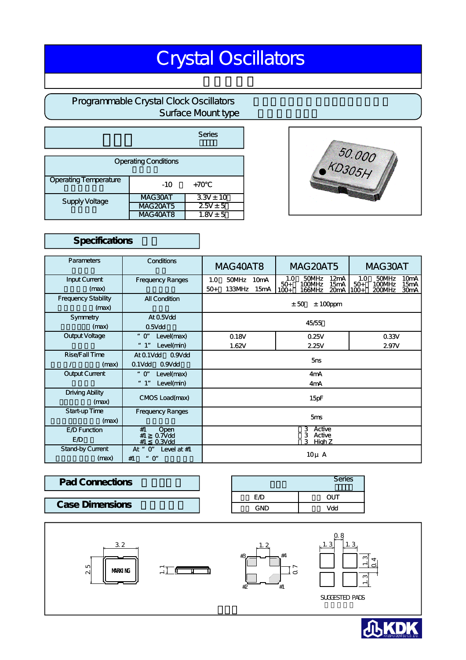# Crystal Oscillators

# Programmable Crystal Clock Oscillators **Surface Mount type**

|                             |                 | Series        |  |  |
|-----------------------------|-----------------|---------------|--|--|
| <b>Operating Conditions</b> |                 |               |  |  |
| Operating Temperature       | $-10$           | $+70$         |  |  |
| Supply Voltage              | MAG30AT         | $3.3V \pm 10$ |  |  |
|                             | <b>MAG20AT5</b> | $2.5V \pm 5$  |  |  |
|                             | MAG40AT8        | $1.8V \pm 5$  |  |  |

## Specifications

| Parameters                          | Conditions                                                      | <b>MAG40AT8</b>                                 | <b>MAG20AT5</b>                                                                          | MAG30AT                                                                                               |  |
|-------------------------------------|-----------------------------------------------------------------|-------------------------------------------------|------------------------------------------------------------------------------------------|-------------------------------------------------------------------------------------------------------|--|
| Input Current<br>(max)              | <b>Frequency Ranges</b>                                         | 50MHz<br>10mA<br>1.0<br>$50+$<br>133MHz<br>15mA | 50MHz<br>12mA<br>1.0<br>100MHz<br>15mA<br>$50+$<br>$100+$<br>20 <sub>m</sub> A<br>166MHz | 10 <sub>m</sub> A<br>50MHz<br>1.0<br>100MHz<br>15mA<br>$50+$<br>200MHz<br>30 <sub>m</sub> A<br>$100+$ |  |
| <b>Frequency Stability</b><br>(max) | <b>All Condition</b>                                            | $± 100$ ppm<br>± 50                             |                                                                                          |                                                                                                       |  |
| Symmetry<br>(max)                   | At 0.5Vdd<br>$0.5V$ dd                                          | 45/55                                           |                                                                                          |                                                                                                       |  |
| Output Voltage                      | Level(max)<br>$"$ O"<br>Level(min)<br>" 1"                      | 0.18V<br>0.25V<br>1.62V<br>2.25V                |                                                                                          | 0.33V<br>2.97V                                                                                        |  |
| Rise/Fall Time<br>(max)             | At 0.1Vdd<br>0.9V <sub>dd</sub><br>0.1Vdd<br>0.9V <sub>dd</sub> | 5ns                                             |                                                                                          |                                                                                                       |  |
| Output Current                      | Level(max)<br>$"$ $O"$<br>" 1"<br>Level(min)                    | 4 <sub>m</sub> A<br>4mA                         |                                                                                          |                                                                                                       |  |
| Driving Ability<br>(max)            | CMOS Load(max)                                                  | 15pF                                            |                                                                                          |                                                                                                       |  |
| Start-up Time<br>(max)              | <b>Frequency Ranges</b>                                         | 5 <sub>ms</sub>                                 |                                                                                          |                                                                                                       |  |
| E D Function<br>ED                  | #1<br>Open<br>#1<br>0.7V <sub>dd</sub><br>#1<br>$0.3V$ dd       | 3 Active<br>Active<br>3<br>3.<br>High Z         |                                                                                          |                                                                                                       |  |
| Stand-by Current<br>(max)           | At " O"<br>Level at $#1$<br>" O"<br>#1                          | $10\mu$ A                                       |                                                                                          |                                                                                                       |  |

| <b>Pad Connections</b> | Series |     |
|------------------------|--------|-----|
|                        | ΕĐ     | וטכ |
| <b>Case Dimensions</b> | GND    | Vdd |





| Series |  |
|--------|--|
|        |  |
|        |  |